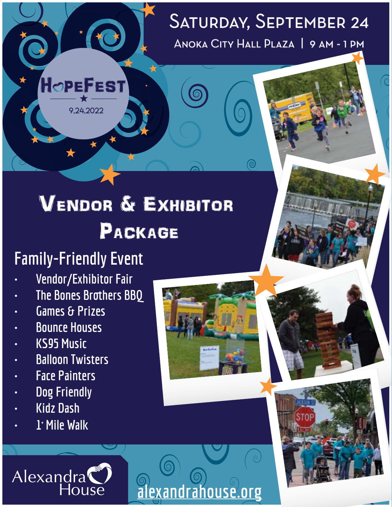### Anoka City Hall Plaza | 9 am - 1 pm Saturday, September 24

# Vendor & Exhibitor PACKAGE

 $\bigodot$ 

 **alexandrahouse.org**

## **Family-Friendly Event**

9.24.2022

HOPEFEST

- **• Vendor/Exhibitor Fair**
- **• The Bones Brothers BBQ**
- **• Games & Prizes**
- **• Bounce Houses**
- **• KS95 Music**
- **• Balloon Twisters**
- **• Face Painters**
- **• Dog Friendly**
- **• Kidz Dash**
- **• 1+ Mile Walk**

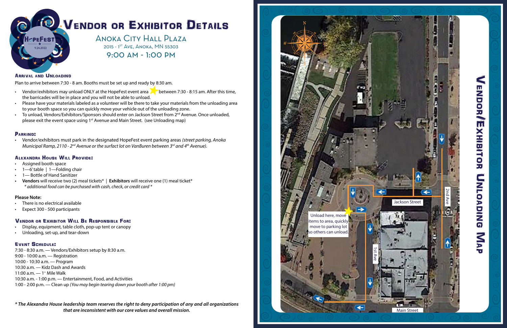

Vendor/Exhibitor Unloading Nap

UNLOADING

MAP

**ENDOR/EXHIBITOR** 

*\* The Alexandra House leadership team reserves the right to deny participation of any and all organizations that are inconsistent with our core values and overall mission.*

# VENDOR OR EXHIBITOR DETAILS

Anoka City Hall Plaza 2015 - 1<sup>st</sup> Ave, Anoka, MN 55303 9:00 am - 1:00 pm

#### ARRIVAL AND UNLOADING

Plan to arrive between 7:30 - 8 am. Booths must be set up and ready by 8:30 am.

- Vendor/exhibitors may unload ONLY at the HopeFest event area **but** between 7:30 8:15 am. After this time, the barricades will be in place and you will not be able to unload.
- Please have your materials labeled as a volunteer will be there to take your materials from the unloading area to your booth space so you can quickly move your vehicle out of the unloading zone.
- To unload, Vendors/Exhibitors/Sponsors should enter on Jackson Street from 2<sup>nd</sup> Avenue. Once unloaded, please exit the event space using 1st Avenue and Main Street. (see Unloading map)

#### PARKING:

• Vendor/exhibitors must park in the designated HopeFest event parking areas *(street parking, Anoka Municipal Ramp, 2110 - 2nd Avenue or the surfact lot on VanBuren between 3rd and 4th Avenue).*

#### ALEXANDRA HOUSE WILL PROVIDE:

- Assigned booth space
- 1—6' table | 1—Folding chair
- 1-Bottle of Hand Sanitizer
- **• Vendors** will receive two (2) meal tickets\* | **Exhibitors** will receive one (1) meal ticket\* *\* additional food can be purchased with cash, check, or credit card \**

#### **Please Note:**

- There is no electrical available
- Expect 300 500 participants

### VENDOR OR EXHIBITOR WILL BE RESPONSIBLE FOR:

- Display, equipment, table cloth, pop-up tent or canopy
- Unloading, set-up, and tear-down

#### Event Schedule:

7:30 - 8:30 a.m. — Vendors/Exhibitors setup by 8:30 a.m. 9:00 - 10:00 a.m. — Registration 10:00 - 10:30 a.m. — Program 10:30 a.m. — Kidz Dash and Awards 11:00 a.m. - 1<sup>+</sup> Mile Walk 10:30 a.m. - 1:00 p.m. — Entertainment, Food, and Activities 1:00 - 2:00 p.m. — Clean up *{You may begin tearing down your booth after 1:00 pm}*

9.24.2022

FEST

H∕ਾਸ